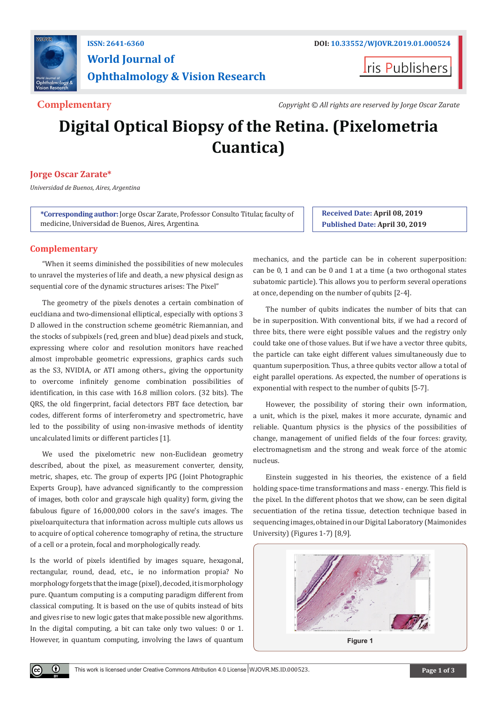

## **ISSN: 2641-6360 DOI: [10.33552/WJOVR.2019.01.000524](http://dx.doi.org/10.33552/WJOVR.2019.01.000524) World Journal of Ophthalmology & Vision Research**

**Iris Publishers** 

**Complementary** *Copyright © All rights are reserved by Jorge Oscar Zarate*

# **Digital Optical Biopsy of the Retina. (Pixelometria Cuantica)**

#### **Jorge Oscar Zarate\***

*Universidad de Buenos, Aires, Argentina*

**\*Corresponding author:** Jorge Oscar Zarate, Professor Consulto Titular, faculty of medicine, Universidad de Buenos, Aires, Argentina.

**Received Date: April 08, 2019 Published Date: April 30, 2019**

#### **Complementary**

"When it seems diminished the possibilities of new molecules to unravel the mysteries of life and death, a new physical design as sequential core of the dynamic structures arises: The Pixel"

The geometry of the pixels denotes a certain combination of eucldiana and two-dimensional elliptical, especially with options 3 D allowed in the construction scheme geométric Riemannian, and the stocks of subpixels (red, green and blue) dead pixels and stuck, expressing where color and resolution monitors have reached almost improbable geometric expressions, graphics cards such as the S3, NVIDIA, or ATI among others., giving the opportunity to overcome infinitely genome combination possibilities of identification, in this case with 16.8 million colors. (32 bits). The QRS, the old fingerprint, facial detectors FBT face detection, bar codes, different forms of interferometry and spectrometric, have led to the possibility of using non-invasive methods of identity uncalculated limits or different particles [1].

We used the pixelometric new non-Euclidean geometry described, about the pixel, as measurement converter, density, metric, shapes, etc. The group of experts JPG (Joint Photographic Experts Group), have advanced significantly to the compression of images, both color and grayscale high quality) form, giving the fabulous figure of 16,000,000 colors in the save's images. The pixeloarquitectura that information across multiple cuts allows us to acquire of optical coherence tomography of retina, the structure of a cell or a protein, focal and morphologically ready.

Is the world of pixels identified by images square, hexagonal, rectangular, round, dead, etc., ie no information propia? No morphology forgets that the image (pixel), decoded, it is morphology pure. Quantum computing is a computing paradigm different from classical computing. It is based on the use of qubits instead of bits and gives rise to new logic gates that make possible new algorithms. In the digital computing, a bit can take only two values: 0 or 1. However, in quantum computing, involving the laws of quantum mechanics, and the particle can be in coherent superposition: can be 0, 1 and can be 0 and 1 at a time (a two orthogonal states subatomic particle). This allows you to perform several operations at once, depending on the number of qubits [2-4].

The number of qubits indicates the number of bits that can be in superposition. With conventional bits, if we had a record of three bits, there were eight possible values and the registry only could take one of those values. But if we have a vector three qubits, the particle can take eight different values simultaneously due to quantum superposition. Thus, a three qubits vector allow a total of eight parallel operations. As expected, the number of operations is exponential with respect to the number of qubits [5-7].

However, the possibility of storing their own information, a unit, which is the pixel, makes it more accurate, dynamic and reliable. Quantum physics is the physics of the possibilities of change, management of unified fields of the four forces: gravity, electromagnetism and the strong and weak force of the atomic nucleus.

Einstein suggested in his theories, the existence of a field holding space-time transformations and mass - energy. This field is the pixel. In the different photos that we show, can be seen digital secuentiation of the retina tissue, detection technique based in sequencing images, obtained in our Digital Laboratory (Maimonides University) (Figures 1-7) [8,9].

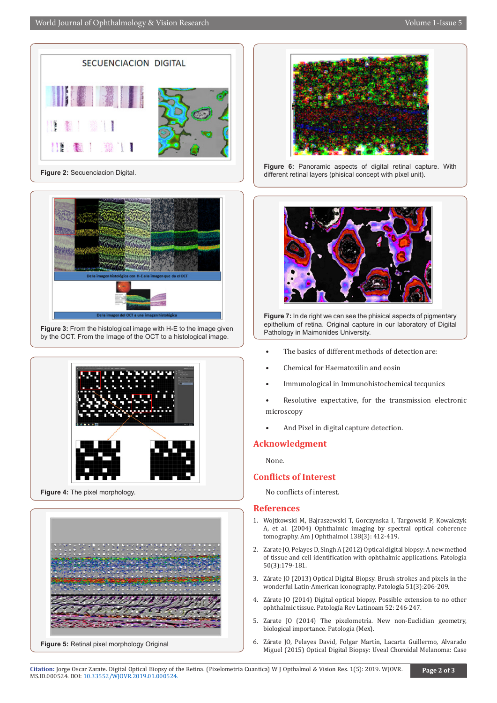

**Figure 2:** Secuenciacion Digital.



**Figure 3:** From the histological image with H-E to the image given by the OCT. From the Image of the OCT to a histological image.





**Figure 5:** Retinal pixel morphology Original



**Figure 6:** Panoramic aspects of digital retinal capture. With different retinal layers (phisical concept with píxel unit).



**Figure 7:** In de right we can see the phisical aspects of pigmentary epithelium of retina. Original capture in our laboratory of Digital Pathology in Maimonides University.

- The basics of different methods of detection are:
- Chemical for Haematoxilin and eosin
- Immunological in Immunohistochemical tecqunics
- Resolutive expectative, for the transmission electronic microscopy
- And Pixel in digital capture detection.

### **Acknowledgment**

None.

#### **Conflicts of Interest**

No conflicts of interest.

#### **References**

- 1. [Wojtkowski M, Bajraszewski T, Gorczynska I, Targowski P, Kowalczyk](https://www.ncbi.nlm.nih.gov/pubmed/15364223) [A, et al. \(2004\) Ophthalmic imaging by spectral optical coherence](https://www.ncbi.nlm.nih.gov/pubmed/15364223) [tomography. Am J Ophthalmol 138\(3\): 412-419.](https://www.ncbi.nlm.nih.gov/pubmed/15364223)
- 2. Zarate JO, Pelayes D, Singh A (2012) Optical digital biopsy: A new method of tissue and cell identification with ophthalmic applications. Patología 50(3):179-181.
- 3. Zárate JO (2013) Optical Digital Biopsy. Brush strokes and pixels in the wonderful Latin-American iconography. Patología 51(3):206-209.
- 4. Zárate JO (2014) Digital optical biopsy. Possible extension to no other ophthalmic tissue. Patología Rev Latinoam 52: 246-247.
- 5. Zarate JO (2014) The pixelometría. New non-Euclidian geometry, biological importance. Patologia (Mex).
- 6. Zárate JO, Pelayes David, Folgar Martín, Lacarta Guillermo, Alvarado Miguel (2015) Optical Digital Biopsy: Uveal Choroidal Melanoma: Case